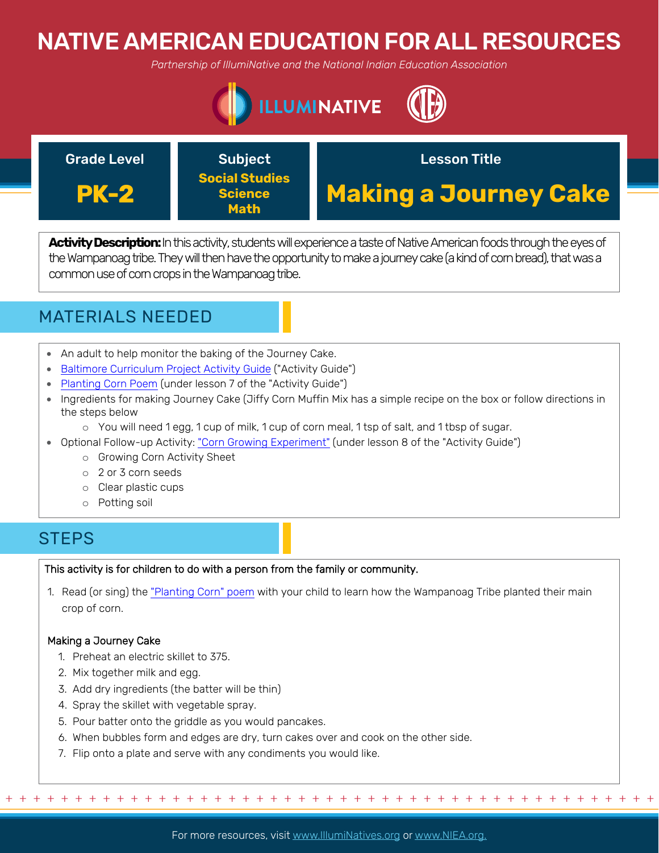# NATIVE AMERICAN EDUCATION FOR ALL RESOURCES

*Partnership of IllumiNative and the National Indian Education Association*



### Grade Level **Construct Construct Construct** Lesson Title **PK-2** Subject **Social Studies Science Math Making a Journey Cake**

Activity Description: In this activity, students will experience a taste of Native American foods through the eyes of the Wampanoag tribe. They will then have the opportunity to make a journey cake (a kind of corn bread), that was a common use of corn crops in the Wampanoag tribe.

# MATERIALS NEEDED

- An adult to help monitor the baking of the Journey Cake.
- [Baltimore Curriculum Project Activity Guide \("Activity Guide"\)](http://www.baltimorecp.org/lessons/K/KDHistory.htm)
- Planting Corn Poem [\(under lesson 7 of the "Activity Guide"\)](http://www.baltimorecp.org/lessons/K/KDHistory.htm)
- Ingredients for making Journey Cake (Jiffy Corn Muffin Mix has a simple recipe on the box or follow directions in the steps below
	- o You will need 1 egg, 1 cup of milk, 1 cup of corn meal, 1 tsp of salt, and 1 tbsp of sugar.
- Optional Follow-up Activity: ["Corn Growing Experiment" \(under lesson 8 of the "Activity Guide"\)](http://www.baltimorecp.org/lessons/K/KDHistory.htm)
	- o Growing Corn Activity Sheet
	- o 2 or 3 corn seeds
	- o Clear plastic cups
	- o Potting soil

## **STEPS**

## This activity is for children to do with a person from the family or community.

1. Read (or sing) the ["Planting Corn" poem](http://www.baltimorecp.org/lessons/K/KDHistory.htm) with your child to learn how the Wampanoag Tribe planted their main crop of corn.

## Making a Journey Cake

- 1. Preheat an electric skillet to 375.
- 2. Mix together milk and egg.
- 3. Add dry ingredients (the batter will be thin)
- 4. Spray the skillet with vegetable spray.
- 5. Pour batter onto the griddle as you would pancakes.
- 6. When bubbles form and edges are dry, turn cakes over and cook on the other side.
- 7. Flip onto a plate and serve with any condiments you would like.

For more resources, visit www.lllumiNatives.org or www.NIEA.org.

+ + + + + + + + + + + + + + + + + + + + + + + + + + + + + + + + + + + + + + + + + + + + + + + +